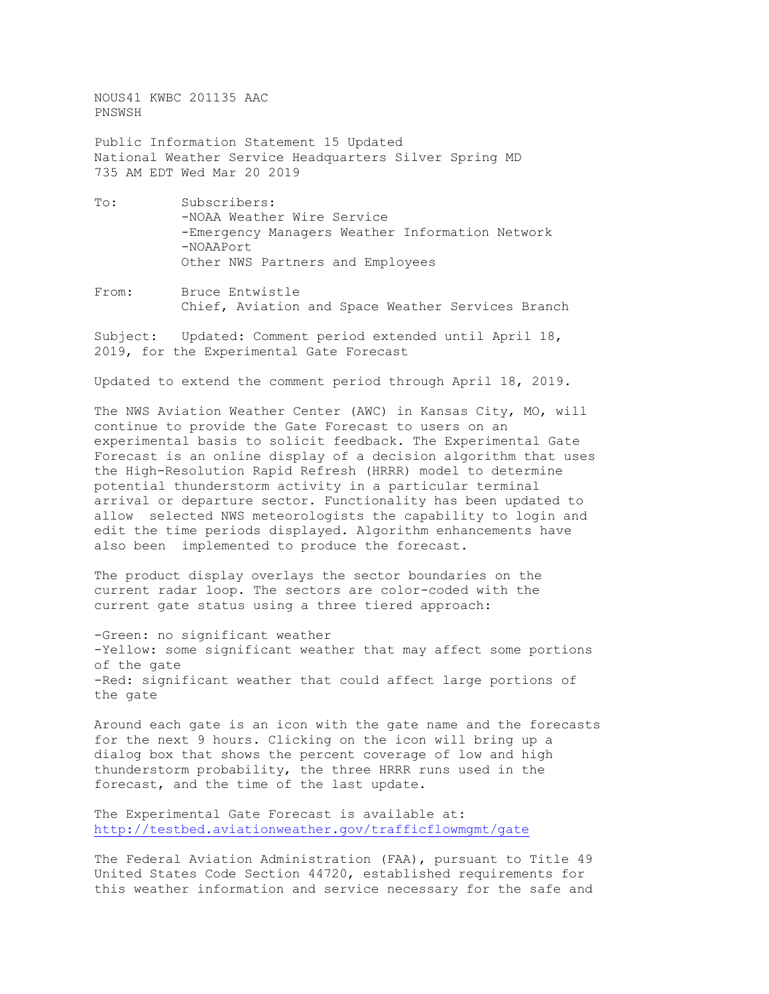NOUS41 KWBC 201135 AAC PNSWSH

Public Information Statement 15 Updated National Weather Service Headquarters Silver Spring MD 735 AM EDT Wed Mar 20 2019

- To: Subscribers: -NOAA Weather Wire Service -Emergency Managers Weather Information Network -NOAAPort Other NWS Partners and Employees
- From: Bruce Entwistle Chief, Aviation and Space Weather Services Branch

Subject: Updated: Comment period extended until April 18, 2019, for the Experimental Gate Forecast

Updated to extend the comment period through April 18, 2019.

The NWS Aviation Weather Center (AWC) in Kansas City, MO, will continue to provide the Gate Forecast to users on an experimental basis to solicit feedback. The Experimental Gate Forecast is an online display of a decision algorithm that uses the High-Resolution Rapid Refresh (HRRR) model to determine potential thunderstorm activity in a particular terminal arrival or departure sector. Functionality has been updated to allow selected NWS meteorologists the capability to login and edit the time periods displayed. Algorithm enhancements have also been implemented to produce the forecast.

The product display overlays the sector boundaries on the current radar loop. The sectors are color-coded with the current gate status using a three tiered approach:

-Green: no significant weather -Yellow: some significant weather that may affect some portions of the gate -Red: significant weather that could affect large portions of the gate

Around each gate is an icon with the gate name and the forecasts for the next 9 hours. Clicking on the icon will bring up a dialog box that shows the percent coverage of low and high thunderstorm probability, the three HRRR runs used in the forecast, and the time of the last update.

The Experimental Gate Forecast is available at: <http://testbed.aviationweather.gov/trafficflowmgmt/gate>

The Federal Aviation Administration (FAA), pursuant to Title 49 United States Code Section 44720, established requirements for this weather information and service necessary for the safe and